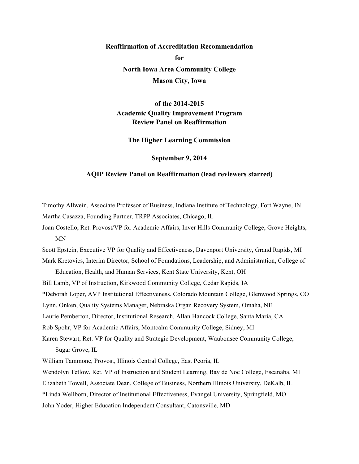# **Reaffirmation of Accreditation Recommendation for North Iowa Area Community College Mason City, Iowa**

# **of the 2014-2015 Academic Quality Improvement Program Review Panel on Reaffirmation**

**The Higher Learning Commission**

**September 9, 2014**

#### **AQIP Review Panel on Reaffirmation (lead reviewers starred)**

Timothy Allwein, Associate Professor of Business, Indiana Institute of Technology, Fort Wayne, IN Martha Casazza, Founding Partner, TRPP Associates, Chicago, IL

Joan Costello, Ret. Provost/VP for Academic Affairs, Inver Hills Community College, Grove Heights, MN

Scott Epstein, Executive VP for Quality and Effectiveness, Davenport University, Grand Rapids, MI

Mark Kretovics, Interim Director, School of Foundations, Leadership, and Administration, College of Education, Health, and Human Services, Kent State University, Kent, OH

Bill Lamb, VP of Instruction, Kirkwood Community College, Cedar Rapids, IA

\*Deborah Loper, AVP Institutional Effectiveness. Colorado Mountain College, Glenwood Springs, CO

Lynn, Onken, Quality Systems Manager, Nebraska Organ Recovery System, Omaha, NE

Laurie Pemberton, Director, Institutional Research, Allan Hancock College, Santa Maria, CA

Rob Spohr, VP for Academic Affairs, Montcalm Community College, Sidney, MI

Karen Stewart, Ret. VP for Quality and Strategic Development, Waubonsee Community College, Sugar Grove, IL

William Tammone, Provost, Illinois Central College, East Peoria, IL

Wendolyn Tetlow, Ret. VP of Instruction and Student Learning, Bay de Noc College, Escanaba, MI Elizabeth Towell, Associate Dean, College of Business, Northern Illinois University, DeKalb, IL \*Linda Wellborn, Director of Institutional Effectiveness, Evangel University, Springfield, MO John Yoder, Higher Education Independent Consultant, Catonsville, MD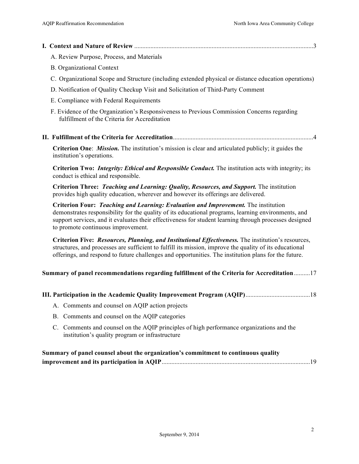|--|--|

- A. Review Purpose, Process, and Materials
- B. Organizational Context
- C. Organizational Scope and Structure (including extended physical or distance education operations)
- D. Notification of Quality Checkup Visit and Solicitation of Third-Party Comment
- E. Compliance with Federal Requirements
- F. Evidence of the Organization's Responsiveness to Previous Commission Concerns regarding fulfillment of the Criteria for Accreditation
- **II. Fulfillment of the Criteria for Accreditation**.......................................................................................4

**Criterion One**: *Mission.* The institution's mission is clear and articulated publicly; it guides the institution's operations.

**Criterion Two:** *Integrity: Ethical and Responsible Conduct.* The institution acts with integrity; its conduct is ethical and responsible.

**Criterion Three:** *Teaching and Learning: Quality, Resources, and Support.* The institution provides high quality education, wherever and however its offerings are delivered.

**Criterion Four:** *Teaching and Learning: Evaluation and Improvement.* The institution demonstrates responsibility for the quality of its educational programs, learning environments, and support services, and it evaluates their effectiveness for student learning through processes designed to promote continuous improvement.

**Criterion Five:** *Resources, Planning, and Institutional Effectiveness.* The institution's resources, structures, and processes are sufficient to fulfill its mission, improve the quality of its educational offerings, and respond to future challenges and opportunities. The institution plans for the future.

#### **Summary of panel recommendations regarding fulfillment of the Criteria for Accreditation**..........17

| A. Comments and counsel on AQIP action projects                                                                                             |  |
|---------------------------------------------------------------------------------------------------------------------------------------------|--|
| B. Comments and counsel on the AQIP categories                                                                                              |  |
| C. Comments and counsel on the AQIP principles of high performance organizations and the<br>institution's quality program or infrastructure |  |
|                                                                                                                                             |  |

| Summary of panel counsel about the organization's commitment to continuous quality |  |
|------------------------------------------------------------------------------------|--|
|                                                                                    |  |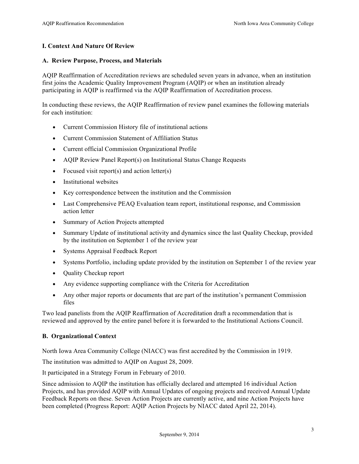# **I. Context And Nature Of Review**

#### **A. Review Purpose, Process, and Materials**

AQIP Reaffirmation of Accreditation reviews are scheduled seven years in advance, when an institution first joins the Academic Quality Improvement Program (AQIP) or when an institution already participating in AQIP is reaffirmed via the AQIP Reaffirmation of Accreditation process.

In conducting these reviews, the AQIP Reaffirmation of review panel examines the following materials for each institution:

- Current Commission History file of institutional actions
- Current Commission Statement of Affiliation Status
- Current official Commission Organizational Profile
- AQIP Review Panel Report(s) on Institutional Status Change Requests
- Focused visit report(s) and action letter(s)
- Institutional websites
- Key correspondence between the institution and the Commission
- Last Comprehensive PEAQ Evaluation team report, institutional response, and Commission action letter
- Summary of Action Projects attempted
- Summary Update of institutional activity and dynamics since the last Quality Checkup, provided by the institution on September 1 of the review year
- Systems Appraisal Feedback Report
- Systems Portfolio, including update provided by the institution on September 1 of the review year
- Quality Checkup report
- Any evidence supporting compliance with the Criteria for Accreditation
- Any other major reports or documents that are part of the institution's permanent Commission files

Two lead panelists from the AQIP Reaffirmation of Accreditation draft a recommendation that is reviewed and approved by the entire panel before it is forwarded to the Institutional Actions Council.

#### **B. Organizational Context**

North Iowa Area Community College (NIACC) was first accredited by the Commission in 1919.

The institution was admitted to AQIP on August 28, 2009.

It participated in a Strategy Forum in February of 2010.

Since admission to AQIP the institution has officially declared and attempted 16 individual Action Projects, and has provided AQIP with Annual Updates of ongoing projects and received Annual Update Feedback Reports on these. Seven Action Projects are currently active, and nine Action Projects have been completed (Progress Report: AQIP Action Projects by NIACC dated April 22, 2014).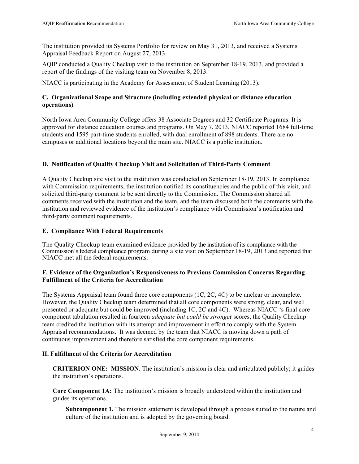The institution provided its Systems Portfolio for review on May 31, 2013, and received a Systems Appraisal Feedback Report on August 27, 2013.

AQIP conducted a Quality Checkup visit to the institution on September 18-19, 2013, and provided a report of the findings of the visiting team on November 8, 2013.

NIACC is participating in the Academy for Assessment of Student Learning (2013).

# **C. Organizational Scope and Structure (including extended physical or distance education operations)**

North Iowa Area Community College offers 38 Associate Degrees and 32 Certificate Programs. It is approved for distance education courses and programs. On May 7, 2013, NIACC reported 1684 full-time students and 1595 part-time students enrolled, with dual enrollment of 898 students. There are no campuses or additional locations beyond the main site. NIACC is a public institution.

# **D. Notification of Quality Checkup Visit and Solicitation of Third-Party Comment**

A Quality Checkup site visit to the institution was conducted on September 18-19, 2013. In compliance with Commission requirements, the institution notified its constituencies and the public of this visit, and solicited third-party comment to be sent directly to the Commission. The Commission shared all comments received with the institution and the team, and the team discussed both the comments with the institution and reviewed evidence of the institution's compliance with Commission's notification and third-party comment requirements.

# **E. Compliance With Federal Requirements**

The Quality Checkup team examined evidence provided by the institution of its compliance with the Commission's federal compliance program during a site visit on September 18-19, 2013 and reported that NIACC met all the federal requirements.

# **F. Evidence of the Organization's Responsiveness to Previous Commission Concerns Regarding Fulfillment of the Criteria for Accreditation**

The Systems Appraisal team found three core components (1C, 2C, 4C) to be unclear or incomplete. However, the Quality Checkup team determined that all core components were strong, clear, and well presented or adequate but could be improved (including 1C, 2C and 4C). Whereas NIACC 's final core component tabulation resulted in fourteen *adequate but could be stronge*r scores, the Quality Checkup team credited the institution with its attempt and improvement in effort to comply with the System Appraisal recommendations. It was deemed by the team that NIACC is moving down a path of continuous improvement and therefore satisfied the core component requirements.

# **II. Fulfillment of the Criteria for Accreditation**

**CRITERION ONE: MISSION.** The institution's mission is clear and articulated publicly; it guides the institution's operations.

**Core Component 1A:** The institution's mission is broadly understood within the institution and guides its operations.

**Subcomponent 1.** The mission statement is developed through a process suited to the nature and culture of the institution and is adopted by the governing board.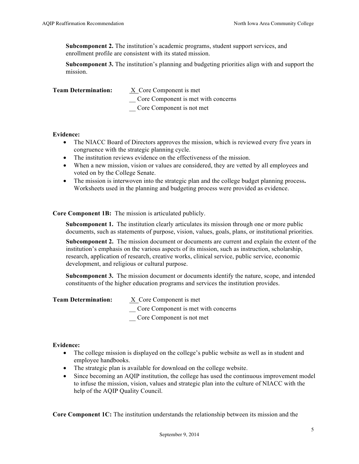**Subcomponent 2.** The institution's academic programs, student support services, and enrollment profile are consistent with its stated mission.

**Subcomponent 3.** The institution's planning and budgeting priorities align with and support the mission.

| <b>Team Determination:</b> | X Core Component is met             |
|----------------------------|-------------------------------------|
|                            | Core Component is met with concerns |
|                            | Core Component is not met           |

#### **Evidence:**

- The NIACC Board of Directors approves the mission, which is reviewed every five years in congruence with the strategic planning cycle.
- The institution reviews evidence on the effectiveness of the mission.
- When a new mission, vision or values are considered, they are vetted by all employees and voted on by the College Senate.
- The mission is interwoven into the strategic plan and the college budget planning process**.**  Worksheets used in the planning and budgeting process were provided as evidence.

# **Core Component 1B:** The mission is articulated publicly.

**Subcomponent 1.** The institution clearly articulates its mission through one or more public documents, such as statements of purpose, vision, values, goals, plans, or institutional priorities.

**Subcomponent 2.** The mission document or documents are current and explain the extent of the institution's emphasis on the various aspects of its mission, such as instruction, scholarship, research, application of research, creative works, clinical service, public service, economic development, and religious or cultural purpose.

**Subcomponent 3.** The mission document or documents identify the nature, scope, and intended constituents of the higher education programs and services the institution provides.

| <b>Team Determination:</b> | X Core Component is met             |
|----------------------------|-------------------------------------|
|                            | Core Component is met with concerns |
|                            | Core Component is not met           |

# **Evidence:**

- The college mission is displayed on the college's public website as well as in student and employee handbooks.
- The strategic plan is available for download on the college website.
- Since becoming an AQIP institution, the college has used the continuous improvement model to infuse the mission, vision, values and strategic plan into the culture of NIACC with the help of the AQIP Quality Council.

**Core Component 1C:** The institution understands the relationship between its mission and the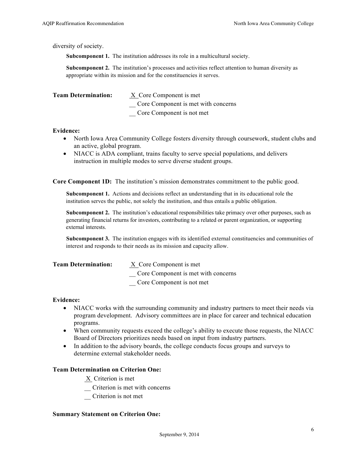diversity of society.

**Subcomponent 1.** The institution addresses its role in a multicultural society.

**Subcomponent 2.** The institution's processes and activities reflect attention to human diversity as appropriate within its mission and for the constituencies it serves.

| <b>Team Determination:</b> | X Core Component is met             |
|----------------------------|-------------------------------------|
|                            | Core Component is met with concerns |
|                            | Core Component is not met           |

#### **Evidence:**

- North Iowa Area Community College fosters diversity through coursework, student clubs and an active, global program.
- NIACC is ADA compliant, trains faculty to serve special populations, and delivers instruction in multiple modes to serve diverse student groups.

**Core Component 1D:** The institution's mission demonstrates commitment to the public good.

**Subcomponent 1.** Actions and decisions reflect an understanding that in its educational role the institution serves the public, not solely the institution, and thus entails a public obligation.

**Subcomponent 2.** The institution's educational responsibilities take primacy over other purposes, such as generating financial returns for investors, contributing to a related or parent organization, or supporting external interests.

**Subcomponent 3.** The institution engages with its identified external constituencies and communities of interest and responds to their needs as its mission and capacity allow.

| <b>Team Determination:</b> | X Core Component is met             |
|----------------------------|-------------------------------------|
|                            | Core Component is met with concerns |
|                            | Core Component is not met           |

#### **Evidence:**

- NIACC works with the surrounding community and industry partners to meet their needs via program development. Advisory committees are in place for career and technical education programs.
- When community requests exceed the college's ability to execute those requests, the NIACC Board of Directors prioritizes needs based on input from industry partners.
- In addition to the advisory boards, the college conducts focus groups and surveys to determine external stakeholder needs.

#### **Team Determination on Criterion One:**

X Criterion is met

- \_\_ Criterion is met with concerns
- \_\_ Criterion is not met

#### **Summary Statement on Criterion One:**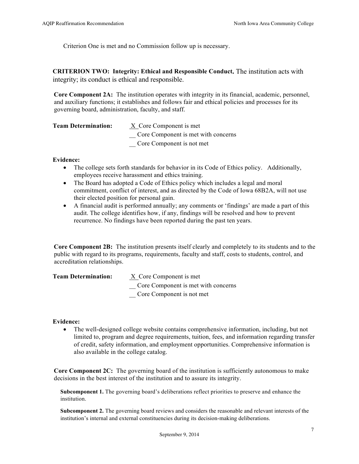Criterion One is met and no Commission follow up is necessary.

**CRITERION TWO: Integrity: Ethical and Responsible Conduct.** The institution acts with integrity; its conduct is ethical and responsible.

**Core Component 2A:** The institution operates with integrity in its financial, academic, personnel, and auxiliary functions; it establishes and follows fair and ethical policies and processes for its governing board, administration, faculty, and staff.

| <b>Team Determination:</b> | X Core Component is met             |
|----------------------------|-------------------------------------|
|                            | Core Component is met with concerns |
|                            | Core Component is not met           |

#### **Evidence:**

- The college sets forth standards for behavior in its Code of Ethics policy. Additionally, employees receive harassment and ethics training.
- The Board has adopted a Code of Ethics policy which includes a legal and moral commitment, conflict of interest, and as directed by the Code of Iowa 68B2A, will not use their elected position for personal gain.
- A financial audit is performed annually; any comments or 'findings' are made a part of this audit. The college identifies how, if any, findings will be resolved and how to prevent recurrence. No findings have been reported during the past ten years.

**Core Component 2B:** The institution presents itself clearly and completely to its students and to the public with regard to its programs, requirements, faculty and staff, costs to students, control, and accreditation relationships.

| <b>Team Determination:</b> | X Core Component is met             |
|----------------------------|-------------------------------------|
|                            | Core Component is met with concerns |
|                            | Core Component is not met           |

#### **Evidence:**

• The well-designed college website contains comprehensive information, including, but not limited to, program and degree requirements, tuition, fees, and information regarding transfer of credit, safety information, and employment opportunities. Comprehensive information is also available in the college catalog.

**Core Component 2C:** The governing board of the institution is sufficiently autonomous to make decisions in the best interest of the institution and to assure its integrity.

**Subcomponent 1.** The governing board's deliberations reflect priorities to preserve and enhance the institution.

**Subcomponent 2.** The governing board reviews and considers the reasonable and relevant interests of the institution's internal and external constituencies during its decision-making deliberations.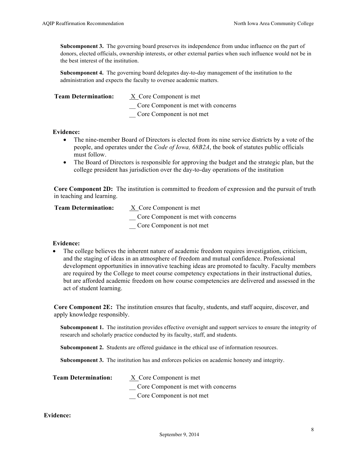**Subcomponent 3.** The governing board preserves its independence from undue influence on the part of donors, elected officials, ownership interests, or other external parties when such influence would not be in the best interest of the institution.

**Subcomponent 4.** The governing board delegates day-to-day management of the institution to the administration and expects the faculty to oversee academic matters.

| <b>Team Determination:</b> | X Core Component is met             |
|----------------------------|-------------------------------------|
|                            | Core Component is met with concerns |
|                            | Core Component is not met           |

#### **Evidence:**

- The nine-member Board of Directors is elected from its nine service districts by a vote of the people, and operates under the *Code of Iowa, 68B2A*, the book of statutes public officials must follow.
- The Board of Directors is responsible for approving the budget and the strategic plan, but the college president has jurisdiction over the day-to-day operations of the institution

**Core Component 2D:** The institution is committed to freedom of expression and the pursuit of truth in teaching and learning.

| <b>Team Determination:</b> | X Core Component is met             |
|----------------------------|-------------------------------------|
|                            | Core Component is met with concerns |
|                            | Core Component is not met           |

#### **Evidence:**

• The college believes the inherent nature of academic freedom requires investigation, criticism, and the staging of ideas in an atmosphere of freedom and mutual confidence. Professional development opportunities in innovative teaching ideas are promoted to faculty. Faculty members are required by the College to meet course competency expectations in their instructional duties, but are afforded academic freedom on how course competencies are delivered and assessed in the act of student learning.

**Core Component 2E:** The institution ensures that faculty, students, and staff acquire, discover, and apply knowledge responsibly.

**Subcomponent 1.** The institution provides effective oversight and support services to ensure the integrity of research and scholarly practice conducted by its faculty, staff, and students.

**Subcomponent 2.** Students are offered guidance in the ethical use of information resources.

**Subcomponent 3.** The institution has and enforces policies on academic honesty and integrity.

| <b>Team Determination:</b> | X Core Component is met             |
|----------------------------|-------------------------------------|
|                            | Core Component is met with concerns |
|                            | Core Component is not met           |

# **Evidence:**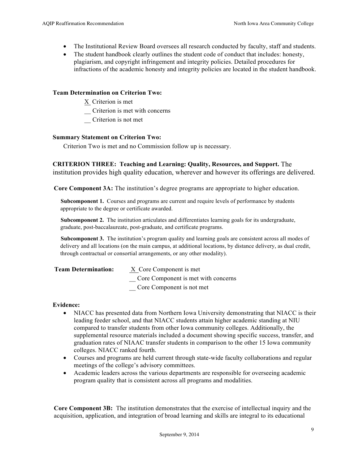- The Institutional Review Board oversees all research conducted by faculty, staff and students.
- The student handbook clearly outlines the student code of conduct that includes: honesty, plagiarism, and copyright infringement and integrity policies. Detailed procedures for infractions of the academic honesty and integrity policies are located in the student handbook.

#### **Team Determination on Criterion Two:**

- X Criterion is met
- \_\_ Criterion is met with concerns
- \_\_ Criterion is not met

#### **Summary Statement on Criterion Two:**

Criterion Two is met and no Commission follow up is necessary.

**CRITERION THREE: Teaching and Learning: Quality, Resources, and Support.** The institution provides high quality education, wherever and however its offerings are delivered.

**Core Component 3A:** The institution's degree programs are appropriate to higher education.

**Subcomponent 1.** Courses and programs are current and require levels of performance by students appropriate to the degree or certificate awarded.

**Subcomponent 2.** The institution articulates and differentiates learning goals for its undergraduate, graduate, post-baccalaureate, post-graduate, and certificate programs.

**Subcomponent 3.** The institution's program quality and learning goals are consistent across all modes of delivery and all locations (on the main campus, at additional locations, by distance delivery, as dual credit, through contractual or consortial arrangements, or any other modality).

| <b>Team Determination:</b> | X Core Component is met             |
|----------------------------|-------------------------------------|
|                            | Core Component is met with concerns |
|                            | Core Component is not met           |

#### **Evidence:**

- NIACC has presented data from Northern Iowa University demonstrating that NIACC is their leading feeder school, and that NIACC students attain higher academic standing at NIU compared to transfer students from other Iowa community colleges. Additionally, the supplemental resource materials included a document showing specific success, transfer, and graduation rates of NIAAC transfer students in comparison to the other 15 Iowa community colleges. NIACC ranked fourth.
- Courses and programs are held current through state-wide faculty collaborations and regular meetings of the college's advisory committees.
- Academic leaders across the various departments are responsible for overseeing academic program quality that is consistent across all programs and modalities.

**Core Component 3B:** The institution demonstrates that the exercise of intellectual inquiry and the acquisition, application, and integration of broad learning and skills are integral to its educational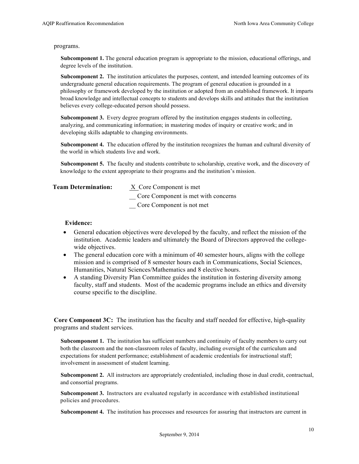#### programs.

**Subcomponent 1.** The general education program is appropriate to the mission, educational offerings, and degree levels of the institution.

**Subcomponent 2.** The institution articulates the purposes, content, and intended learning outcomes of its undergraduate general education requirements. The program of general education is grounded in a philosophy or framework developed by the institution or adopted from an established framework. It imparts broad knowledge and intellectual concepts to students and develops skills and attitudes that the institution believes every college-educated person should possess.

**Subcomponent 3.** Every degree program offered by the institution engages students in collecting, analyzing, and communicating information; in mastering modes of inquiry or creative work; and in developing skills adaptable to changing environments.

**Subcomponent 4.** The education offered by the institution recognizes the human and cultural diversity of the world in which students live and work.

**Subcomponent 5.** The faculty and students contribute to scholarship, creative work, and the discovery of knowledge to the extent appropriate to their programs and the institution's mission.

| <b>Team Determination:</b> | X Core Component is met             |
|----------------------------|-------------------------------------|
|                            | Core Component is met with concerns |
|                            | Core Component is not met           |

#### **Evidence:**

- General education objectives were developed by the faculty, and reflect the mission of the institution. Academic leaders and ultimately the Board of Directors approved the collegewide objectives.
- The general education core with a minimum of 40 semester hours, aligns with the college mission and is comprised of 8 semester hours each in Communications, Social Sciences, Humanities, Natural Sciences/Mathematics and 8 elective hours.
- A standing Diversity Plan Committee guides the institution in fostering diversity among faculty, staff and students. Most of the academic programs include an ethics and diversity course specific to the discipline.

**Core Component 3C:** The institution has the faculty and staff needed for effective, high-quality programs and student services.

**Subcomponent 1.** The institution has sufficient numbers and continuity of faculty members to carry out both the classroom and the non-classroom roles of faculty, including oversight of the curriculum and expectations for student performance; establishment of academic credentials for instructional staff; involvement in assessment of student learning.

**Subcomponent 2.** All instructors are appropriately credentialed, including those in dual credit, contractual, and consortial programs.

**Subcomponent 3.** Instructors are evaluated regularly in accordance with established institutional policies and procedures.

**Subcomponent 4.** The institution has processes and resources for assuring that instructors are current in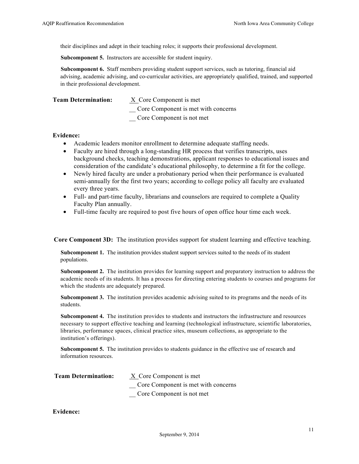their disciplines and adept in their teaching roles; it supports their professional development.

**Subcomponent 5.** Instructors are accessible for student inquiry.

**Subcomponent 6.** Staff members providing student support services, such as tutoring, financial aid advising, academic advising, and co-curricular activities, are appropriately qualified, trained, and supported in their professional development.

| <b>Team Determination:</b> | X Core Component is met             |
|----------------------------|-------------------------------------|
|                            | Core Component is met with concerns |
|                            | Core Component is not met           |

#### **Evidence:**

- Academic leaders monitor enrollment to determine adequate staffing needs.
- Faculty are hired through a long-standing HR process that verifies transcripts, uses background checks, teaching demonstrations, applicant responses to educational issues and consideration of the candidate's educational philosophy, to determine a fit for the college.
- Newly hired faculty are under a probationary period when their performance is evaluated semi-annually for the first two years; according to college policy all faculty are evaluated every three years.
- Full- and part-time faculty, librarians and counselors are required to complete a Quality Faculty Plan annually.
- Full-time faculty are required to post five hours of open office hour time each week.

**Core Component 3D:** The institution provides support for student learning and effective teaching.

**Subcomponent 1.** The institution provides student support services suited to the needs of its student populations.

**Subcomponent 2.** The institution provides for learning support and preparatory instruction to address the academic needs of its students. It has a process for directing entering students to courses and programs for which the students are adequately prepared.

**Subcomponent 3.** The institution provides academic advising suited to its programs and the needs of its students.

**Subcomponent 4.** The institution provides to students and instructors the infrastructure and resources necessary to support effective teaching and learning (technological infrastructure, scientific laboratories, libraries, performance spaces, clinical practice sites, museum collections, as appropriate to the institution's offerings).

**Subcomponent 5.** The institution provides to students guidance in the effective use of research and information resources.

| X Core Component is met             |
|-------------------------------------|
| Core Component is met with concerns |
| Core Component is not met           |
|                                     |

#### **Evidence:**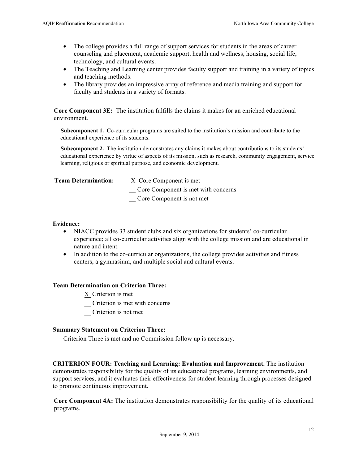- The college provides a full range of support services for students in the areas of career counseling and placement, academic support, health and wellness, housing, social life, technology, and cultural events.
- The Teaching and Learning center provides faculty support and training in a variety of topics and teaching methods.
- The library provides an impressive array of reference and media training and support for faculty and students in a variety of formats.

**Core Component 3E:** The institution fulfills the claims it makes for an enriched educational environment.

**Subcomponent 1.** Co-curricular programs are suited to the institution's mission and contribute to the educational experience of its students.

**Subcomponent 2.** The institution demonstrates any claims it makes about contributions to its students' educational experience by virtue of aspects of its mission, such as research, community engagement, service learning, religious or spiritual purpose, and economic development.

| <b>Team Determination:</b> | X Core Component is met             |
|----------------------------|-------------------------------------|
|                            | Core Component is met with concerns |
|                            | Core Component is not met           |
|                            |                                     |

#### **Evidence:**

- NIACC provides 33 student clubs and six organizations for students' co-curricular experience; all co-curricular activities align with the college mission and are educational in nature and intent.
- In addition to the co-curricular organizations, the college provides activities and fitness centers, a gymnasium, and multiple social and cultural events.

#### **Team Determination on Criterion Three:**

- X Criterion is met
- \_\_ Criterion is met with concerns
- \_\_ Criterion is not met

#### **Summary Statement on Criterion Three:**

Criterion Three is met and no Commission follow up is necessary.

**CRITERION FOUR: Teaching and Learning: Evaluation and Improvement.** The institution demonstrates responsibility for the quality of its educational programs, learning environments, and support services, and it evaluates their effectiveness for student learning through processes designed to promote continuous improvement.

**Core Component 4A:** The institution demonstrates responsibility for the quality of its educational programs.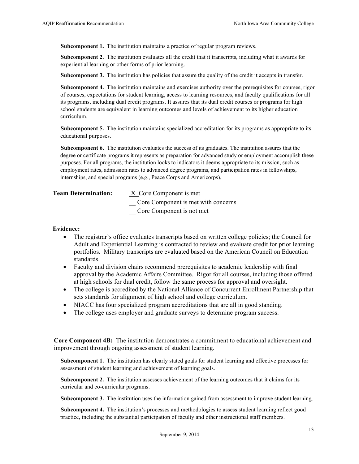**Subcomponent 1.** The institution maintains a practice of regular program reviews.

**Subcomponent 2.** The institution evaluates all the credit that it transcripts, including what it awards for experiential learning or other forms of prior learning.

**Subcomponent 3.** The institution has policies that assure the quality of the credit it accepts in transfer.

**Subcomponent 4.** The institution maintains and exercises authority over the prerequisites for courses, rigor of courses, expectations for student learning, access to learning resources, and faculty qualifications for all its programs, including dual credit programs. It assures that its dual credit courses or programs for high school students are equivalent in learning outcomes and levels of achievement to its higher education curriculum.

**Subcomponent 5.** The institution maintains specialized accreditation for its programs as appropriate to its educational purposes.

**Subcomponent 6.** The institution evaluates the success of its graduates. The institution assures that the degree or certificate programs it represents as preparation for advanced study or employment accomplish these purposes. For all programs, the institution looks to indicators it deems appropriate to its mission, such as employment rates, admission rates to advanced degree programs, and participation rates in fellowships, internships, and special programs (e.g., Peace Corps and Americorps).

| <b>Team Determination:</b> | X Core Component is met             |
|----------------------------|-------------------------------------|
|                            | Core Component is met with concerns |
|                            | Core Component is not met           |

#### **Evidence:**

- The registrar's office evaluates transcripts based on written college policies; the Council for Adult and Experiential Learning is contracted to review and evaluate credit for prior learning portfolios. Military transcripts are evaluated based on the American Council on Education standards.
- Faculty and division chairs recommend prerequisites to academic leadership with final approval by the Academic Affairs Committee. Rigor for all courses, including those offered at high schools for dual credit, follow the same process for approval and oversight.
- The college is accredited by the National Alliance of Concurrent Enrollment Partnership that sets standards for alignment of high school and college curriculum.
- NIACC has four specialized program accreditations that are all in good standing.
- The college uses employer and graduate surveys to determine program success.

**Core Component 4B:** The institution demonstrates a commitment to educational achievement and improvement through ongoing assessment of student learning.

**Subcomponent 1.** The institution has clearly stated goals for student learning and effective processes for assessment of student learning and achievement of learning goals.

**Subcomponent 2.** The institution assesses achievement of the learning outcomes that it claims for its curricular and co-curricular programs.

**Subcomponent 3.** The institution uses the information gained from assessment to improve student learning.

**Subcomponent 4.** The institution's processes and methodologies to assess student learning reflect good practice, including the substantial participation of faculty and other instructional staff members.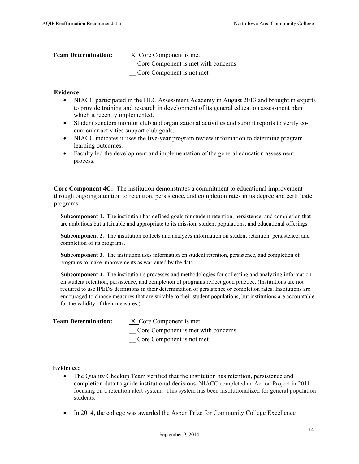| <b>Team Determination:</b> | X Core Component is met             |
|----------------------------|-------------------------------------|
|                            | Core Component is met with concerns |
|                            | Core Component is not met           |

#### **Evidence:**

- NIACC participated in the HLC Assessment Academy in August 2013 and brought in experts to provide training and research in development of its general education assessment plan which it recently implemented.
- Student senators monitor club and organizational activities and submit reports to verify cocurricular activities support club goals.
- NIACC indicates it uses the five-year program review information to determine program learning outcomes.
- Faculty led the development and implementation of the general education assessment process.

**Core Component 4C:** The institution demonstrates a commitment to educational improvement through ongoing attention to retention, persistence, and completion rates in its degree and certificate programs.

**Subcomponent 1.** The institution has defined goals for student retention, persistence, and completion that are ambitious but attainable and appropriate to its mission, student populations, and educational offerings.

**Subcomponent 2.** The institution collects and analyzes information on student retention, persistence, and completion of its programs.

**Subcomponent 3.** The institution uses information on student retention, persistence, and completion of programs to make improvements as warranted by the data.

**Subcomponent 4.** The institution's processes and methodologies for collecting and analyzing information on student retention, persistence, and completion of programs reflect good practice. (Institutions are not required to use IPEDS definitions in their determination of persistence or completion rates. Institutions are encouraged to choose measures that are suitable to their student populations, but institutions are accountable for the validity of their measures.)

| <b>Team Determination:</b> | X Core Component is met             |
|----------------------------|-------------------------------------|
|                            | Core Component is met with concerns |
|                            | Core Component is not met           |

#### **Evidence:**

- The Quality Checkup Team verified that the institution has retention, persistence and completion data to guide institutional decisions. NIACC completed an Action Project in 2011 focusing on a retention alert system. This system has been institutionalized for general population students.
- In 2014, the college was awarded the Aspen Prize for Community College Excellence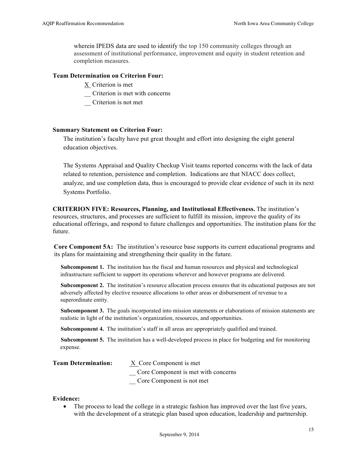wherein IPEDS data are used to identify the top 150 community colleges through an assessment of institutional performance, improvement and equity in student retention and completion measures.

#### **Team Determination on Criterion Four:**

- X Criterion is met
- \_\_ Criterion is met with concerns
- \_\_ Criterion is not met

#### **Summary Statement on Criterion Four:**

The institution's faculty have put great thought and effort into designing the eight general education objectives.

The Systems Appraisal and Quality Checkup Visit teams reported concerns with the lack of data related to retention, persistence and completion. Indications are that NIACC does collect, analyze, and use completion data, thus is encouraged to provide clear evidence of such in its next Systems Portfolio.

**CRITERION FIVE: Resources, Planning, and Institutional Effectiveness.** The institution's resources, structures, and processes are sufficient to fulfill its mission, improve the quality of its educational offerings, and respond to future challenges and opportunities. The institution plans for the future.

**Core Component 5A:** The institution's resource base supports its current educational programs and its plans for maintaining and strengthening their quality in the future.

**Subcomponent 1.** The institution has the fiscal and human resources and physical and technological infrastructure sufficient to support its operations wherever and however programs are delivered.

**Subcomponent 2.** The institution's resource allocation process ensures that its educational purposes are not adversely affected by elective resource allocations to other areas or disbursement of revenue to a superordinate entity.

**Subcomponent 3.** The goals incorporated into mission statements or elaborations of mission statements are realistic in light of the institution's organization, resources, and opportunities.

**Subcomponent 4.** The institution's staff in all areas are appropriately qualified and trained.

**Subcomponent 5.** The institution has a well-developed process in place for budgeting and for monitoring expense.

| <b>Team Determination:</b> | X Core Component is met             |
|----------------------------|-------------------------------------|
|                            | Core Component is met with concerns |
|                            | Core Component is not met           |

#### **Evidence:**

• The process to lead the college in a strategic fashion has improved over the last five years, with the development of a strategic plan based upon education, leadership and partnership.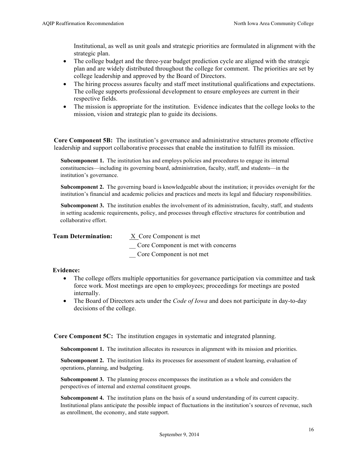Institutional, as well as unit goals and strategic priorities are formulated in alignment with the strategic plan.

- The college budget and the three-year budget prediction cycle are aligned with the strategic plan and are widely distributed throughout the college for comment. The priorities are set by college leadership and approved by the Board of Directors.
- The hiring process assures faculty and staff meet institutional qualifications and expectations. The college supports professional development to ensure employees are current in their respective fields.
- The mission is appropriate for the institution. Evidence indicates that the college looks to the mission, vision and strategic plan to guide its decisions.

**Core Component 5B:** The institution's governance and administrative structures promote effective leadership and support collaborative processes that enable the institution to fulfill its mission.

**Subcomponent 1.** The institution has and employs policies and procedures to engage its internal constituencies—including its governing board, administration, faculty, staff, and students—in the institution's governance.

**Subcomponent 2.** The governing board is knowledgeable about the institution; it provides oversight for the institution's financial and academic policies and practices and meets its legal and fiduciary responsibilities.

**Subcomponent 3.** The institution enables the involvement of its administration, faculty, staff, and students in setting academic requirements, policy, and processes through effective structures for contribution and collaborative effort.

**Team Determination:** XCore Component is met

\_\_ Core Component is met with concerns

\_\_ Core Component is not met

#### **Evidence:**

- The college offers multiple opportunities for governance participation via committee and task force work. Most meetings are open to employees; proceedings for meetings are posted internally.
- The Board of Directors acts under the *Code of Iowa* and does not participate in day-to-day decisions of the college.

**Core Component 5C:** The institution engages in systematic and integrated planning.

**Subcomponent 1.** The institution allocates its resources in alignment with its mission and priorities.

**Subcomponent 2.** The institution links its processes for assessment of student learning, evaluation of operations, planning, and budgeting.

**Subcomponent 3.** The planning process encompasses the institution as a whole and considers the perspectives of internal and external constituent groups.

**Subcomponent 4.** The institution plans on the basis of a sound understanding of its current capacity. Institutional plans anticipate the possible impact of fluctuations in the institution's sources of revenue, such as enrollment, the economy, and state support.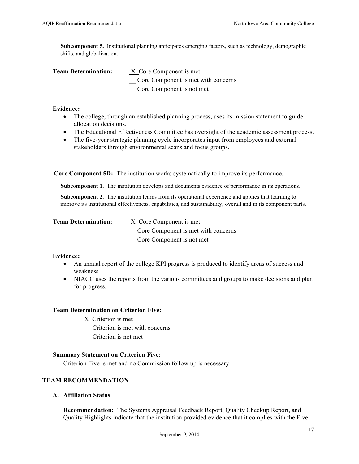**Subcomponent 5.** Institutional planning anticipates emerging factors, such as technology, demographic shifts, and globalization.

| <b>Team Determination:</b> | X Core Component is met             |
|----------------------------|-------------------------------------|
|                            | Core Component is met with concerns |
|                            | Core Component is not met           |

#### **Evidence:**

- The college, through an established planning process, uses its mission statement to guide allocation decisions.
- The Educational Effectiveness Committee has oversight of the academic assessment process.
- The five-year strategic planning cycle incorporates input from employees and external stakeholders through environmental scans and focus groups.

**Core Component 5D:** The institution works systematically to improve its performance.

**Subcomponent 1.** The institution develops and documents evidence of performance in its operations.

**Subcomponent 2.** The institution learns from its operational experience and applies that learning to improve its institutional effectiveness, capabilities, and sustainability, overall and in its component parts.

| <b>Team Determination:</b> | X Core Component is met             |
|----------------------------|-------------------------------------|
|                            | Core Component is met with concerns |
|                            | Core Component is not met           |

#### **Evidence:**

- An annual report of the college KPI progress is produced to identify areas of success and weakness.
- NIACC uses the reports from the various committees and groups to make decisions and plan for progress.

#### **Team Determination on Criterion Five:**

- X Criterion is met
- \_\_ Criterion is met with concerns
- \_\_ Criterion is not met

#### **Summary Statement on Criterion Five:**

Criterion Five is met and no Commission follow up is necessary.

# **TEAM RECOMMENDATION**

**A. Affiliation Status**

**Recommendation:** The Systems Appraisal Feedback Report, Quality Checkup Report, and Quality Highlights indicate that the institution provided evidence that it complies with the Five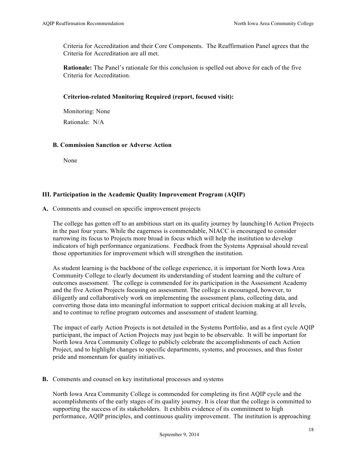Criteria for Accreditation and their Core Components. The Reaffirmation Panel agrees that the Criteria for Accreditation are all met.

**Rationale:** The Panel's rationale for this conclusion is spelled out above for each of the five Criteria for Accreditation.

# **Criterion-related Monitoring Required (report, focused visit):**

Monitoring: None Rationale: N/A

# **B. Commission Sanction or Adverse Action**

None

# **III. Participation in the Academic Quality Improvement Program (AQIP)**

# **A.** Comments and counsel on specific improvement projects

The college has gotten off to an ambitious start on its quality journey by launching16 Action Projects in the past four years. While the eagerness is commendable, NIACC is encouraged to consider narrowing its focus to Projects more broad in focus which will help the institution to develop indicators of high performance organizations. Feedback from the Systems Appraisal should reveal those opportunities for improvement which will strengthen the institution.

As student learning is the backbone of the college experience, it is important for North Iowa Area Community College to clearly document its understanding of student learning and the culture of outcomes assessment. The college is commended for its participation in the Assessment Academy and the five Action Projects focusing on assessment. The college is encouraged, however, to diligently and collaboratively work on implementing the assessment plans, collecting data, and converting those data into meaningful information to support critical decision making at all levels, and to continue to refine program outcomes and assessment of student learning.

The impact of early Action Projects is not detailed in the Systems Portfolio, and as a first cycle AQIP participant, the impact of Action Projects may just begin to be observable. It will be important for North Iowa Area Community College to publicly celebrate the accomplishments of each Action Project, and to highlight changes to specific departments, systems, and processes, and thus foster pride and momentum for quality initiatives.

#### **B.** Comments and counsel on key institutional processes and systems

North Iowa Area Community College is commended for completing its first AQIP cycle and the accomplishments of the early stages of its quality journey. It is clear that the college is committed to supporting the success of its stakeholders. It exhibits evidence of its commitment to high performance, AQIP principles, and continuous quality improvement. The institution is approaching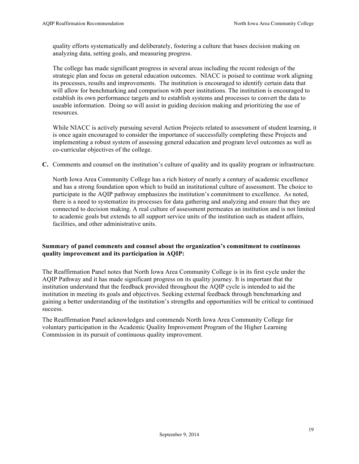quality efforts systematically and deliberately, fostering a culture that bases decision making on analyzing data, setting goals, and measuring progress.

The college has made significant progress in several areas including the recent redesign of the strategic plan and focus on general education outcomes. NIACC is poised to continue work aligning its processes, results and improvements. The institution is encouraged to identify certain data that will allow for benchmarking and comparison with peer institutions. The institution is encouraged to establish its own performance targets and to establish systems and processes to convert the data to useable information. Doing so will assist in guiding decision making and prioritizing the use of resources.

While NIACC is actively pursuing several Action Projects related to assessment of student learning, it is once again encouraged to consider the importance of successfully completing these Projects and implementing a robust system of assessing general education and program level outcomes as well as co-curricular objectives of the college.

**C.** Comments and counsel on the institution's culture of quality and its quality program or infrastructure.

North Iowa Area Community College has a rich history of nearly a century of academic excellence and has a strong foundation upon which to build an institutional culture of assessment. The choice to participate in the AQIP pathway emphasizes the institution's commitment to excellence. As noted, there is a need to systematize its processes for data gathering and analyzing and ensure that they are connected to decision making. A real culture of assessment permeates an institution and is not limited to academic goals but extends to all support service units of the institution such as student affairs, facilities, and other administrative units.

# **Summary of panel comments and counsel about the organization's commitment to continuous quality improvement and its participation in AQIP:**

The Reaffirmation Panel notes that North Iowa Area Community College is in its first cycle under the AQIP Pathway and it has made significant progress on its quality journey. It is important that the institution understand that the feedback provided throughout the AQIP cycle is intended to aid the institution in meeting its goals and objectives. Seeking external feedback through benchmarking and gaining a better understanding of the institution's strengths and opportunities will be critical to continued success.

The Reaffirmation Panel acknowledges and commends North Iowa Area Community College for voluntary participation in the Academic Quality Improvement Program of the Higher Learning Commission in its pursuit of continuous quality improvement.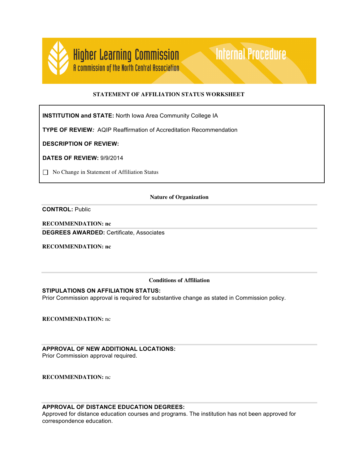

# **STATEMENT OF AFFILIATION STATUS WORKSHEET**

**Internal Procedure** 

**INSTITUTION and STATE:** North Iowa Area Community College IA

**TYPE OF REVIEW***:* AQIP Reaffirmation of Accreditation Recommendation

**DESCRIPTION OF REVIEW:** 

**DATES OF REVIEW:** 9/9/2014

□ No Change in Statement of Affiliation Status

#### **Nature of Organization**

**CONTROL:** Public

**RECOMMENDATION: nc DEGREES AWARDED:** Certificate, Associates

**RECOMMENDATION: nc**

#### **Conditions of Affiliation**

#### **STIPULATIONS ON AFFILIATION STATUS:**

Prior Commission approval is required for substantive change as stated in Commission policy.

**RECOMMENDATION:** nc

# **APPROVAL OF NEW ADDITIONAL LOCATIONS:**

Prior Commission approval required.

**RECOMMENDATION:** nc

#### **APPROVAL OF DISTANCE EDUCATION DEGREES:**

Approved for distance education courses and programs. The institution has not been approved for correspondence education.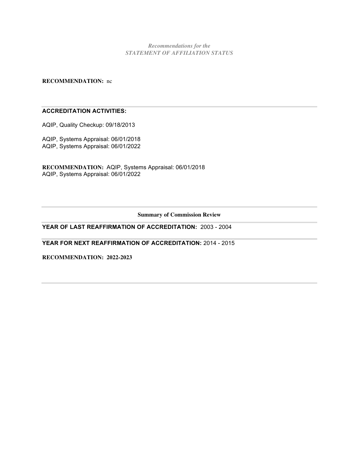*Recommendations for the STATEMENT OF AFFILIATION STATUS*

**RECOMMENDATION:** nc

### **ACCREDITATION ACTIVITIES:**

AQIP, Quality Checkup: 09/18/2013

AQIP, Systems Appraisal: 06/01/2018 AQIP, Systems Appraisal: 06/01/2022

**RECOMMENDATION:** AQIP, Systems Appraisal: 06/01/2018 AQIP, Systems Appraisal: 06/01/2022

**Summary of Commission Review**

# **YEAR OF LAST REAFFIRMATION OF ACCREDITATION:** 2003 - 2004

**YEAR FOR NEXT REAFFIRMATION OF ACCREDITATION:** 2014 - 2015

**RECOMMENDATION: 2022-2023**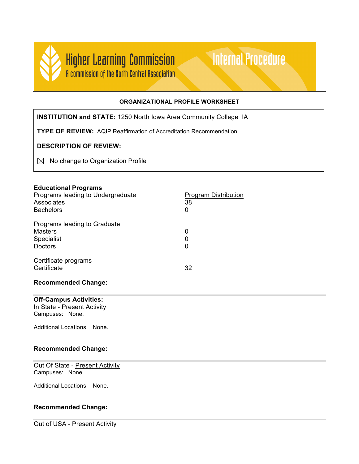

# **ORGANIZATIONAL PROFILE WORKSHEET**

**Internal Procedure** 

**INSTITUTION and STATE:** 1250 North Iowa Area Community College IA

**TYPE OF REVIEW:** AQIP Reaffirmation of Accreditation Recommendation

# **DESCRIPTION OF REVIEW:**

 $\boxtimes$  No change to Organization Profile

# **Educational Programs**

| Programs leading to Undergraduate<br>Associates | <b>Program Distribution</b><br>38 |
|-------------------------------------------------|-----------------------------------|
| <b>Bachelors</b>                                | 0                                 |
| Programs leading to Graduate                    |                                   |
| <b>Masters</b>                                  | 0                                 |
| <b>Specialist</b>                               | 0                                 |
| <b>Doctors</b>                                  | 0                                 |
| Certificate programs<br>Certificate             | 32                                |
|                                                 |                                   |

# **Recommended Change:**

# **Off-Campus Activities:**

In State - Present Activity

Campuses: None.

Additional Locations: None.

# **Recommended Change:**

Out Of State - Present Activity Campuses: None.

Additional Locations: None.

# **Recommended Change:**

Out of USA - Present Activity